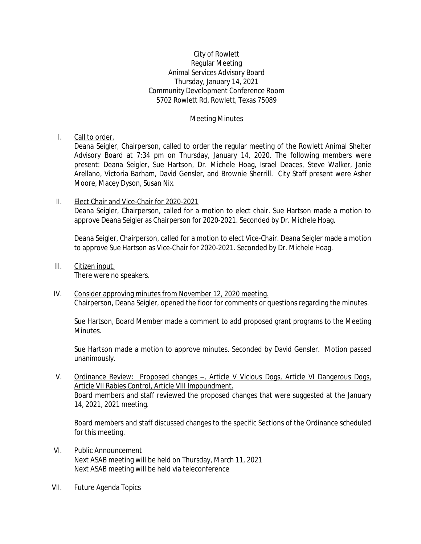## City of Rowlett Regular Meeting Animal Services Advisory Board Thursday, January 14, 2021 Community Development Conference Room 5702 Rowlett Rd, Rowlett, Texas 75089

## Meeting Minutes

## I. Call to order.

Deana Seigler, Chairperson, called to order the regular meeting of the Rowlett Animal Shelter Advisory Board at 7:34 pm on Thursday, January 14, 2020. The following members were present: Deana Seigler, Sue Hartson, Dr. Michele Hoag, Israel Deaces, Steve Walker, Janie Arellano, Victoria Barham, David Gensler, and Brownie Sherrill. City Staff present were Asher Moore, Macey Dyson, Susan Nix.

## II. Elect Chair and Vice-Chair for 2020-2021

Deana Seigler, Chairperson, called for a motion to elect chair. Sue Hartson made a motion to approve Deana Seigler as Chairperson for 2020-2021. Seconded by Dr. Michele Hoag.

Deana Seigler, Chairperson, called for a motion to elect Vice-Chair. Deana Seigler made a motion to approve Sue Hartson as Vice-Chair for 2020-2021. Seconded by Dr. Michele Hoag.

III. Citizen input.

There were no speakers.

IV. Consider approving minutes from November 12, 2020 meeting*.* Chairperson, Deana Seigler, opened the floor for comments or questions regarding the minutes.

Sue Hartson, Board Member made a comment to add proposed grant programs to the Meeting Minutes.

Sue Hartson made a motion to approve minutes. Seconded by David Gensler. Motion passed unanimously.

V. Ordinance Review: Proposed changes –, Article V Vicious Dogs, Article VI Dangerous Dogs, Article VII Rabies Control, Article VIII Impoundment. Board members and staff reviewed the proposed changes that were suggested at the January 14, 2021, 2021 meeting.

Board members and staff discussed changes to the specific Sections of the Ordinance scheduled for this meeting.

- VI. Public Announcement Next ASAB meeting will be held on Thursday, March 11, 2021 Next ASAB meeting will be held via teleconference
- VII. Future Agenda Topics